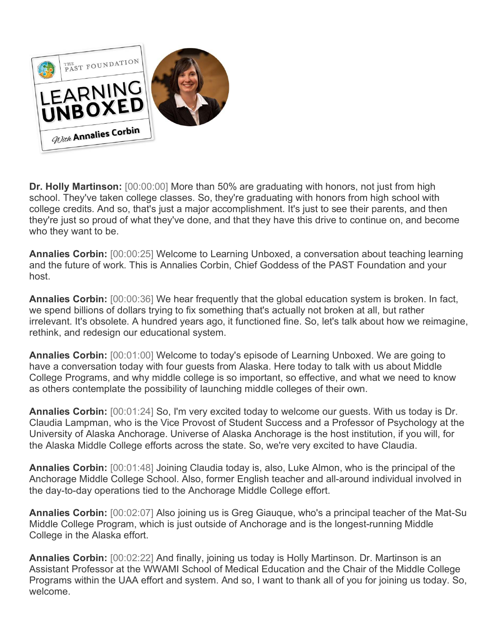

**Dr. Holly Martinson:** [00:00:00] More than 50% are graduating with honors, not just from high school. They've taken college classes. So, they're graduating with honors from high school with college credits. And so, that's just a major accomplishment. It's just to see their parents, and then they're just so proud of what they've done, and that they have this drive to continue on, and become who they want to be.

**Annalies Corbin:** [00:00:25] Welcome to Learning Unboxed, a conversation about teaching learning and the future of work. This is Annalies Corbin, Chief Goddess of the PAST Foundation and your host.

**Annalies Corbin:** [00:00:36] We hear frequently that the global education system is broken. In fact, we spend billions of dollars trying to fix something that's actually not broken at all, but rather irrelevant. It's obsolete. A hundred years ago, it functioned fine. So, let's talk about how we reimagine, rethink, and redesign our educational system.

**Annalies Corbin:** [00:01:00] Welcome to today's episode of Learning Unboxed. We are going to have a conversation today with four guests from Alaska. Here today to talk with us about Middle College Programs, and why middle college is so important, so effective, and what we need to know as others contemplate the possibility of launching middle colleges of their own.

**Annalies Corbin:** [00:01:24] So, I'm very excited today to welcome our guests. With us today is Dr. Claudia Lampman, who is the Vice Provost of Student Success and a Professor of Psychology at the University of Alaska Anchorage. Universe of Alaska Anchorage is the host institution, if you will, for the Alaska Middle College efforts across the state. So, we're very excited to have Claudia.

**Annalies Corbin:** [00:01:48] Joining Claudia today is, also, Luke Almon, who is the principal of the Anchorage Middle College School. Also, former English teacher and all-around individual involved in the day-to-day operations tied to the Anchorage Middle College effort.

**Annalies Corbin:** [00:02:07] Also joining us is Greg Giauque, who's a principal teacher of the Mat-Su Middle College Program, which is just outside of Anchorage and is the longest-running Middle College in the Alaska effort.

**Annalies Corbin:** [00:02:22] And finally, joining us today is Holly Martinson. Dr. Martinson is an Assistant Professor at the WWAMI School of Medical Education and the Chair of the Middle College Programs within the UAA effort and system. And so, I want to thank all of you for joining us today. So, welcome.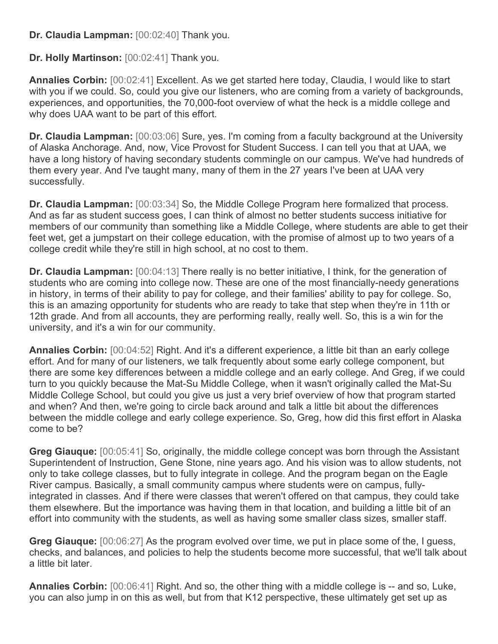## **Dr. Claudia Lampman:** [00:02:40] Thank you.

## **Dr. Holly Martinson:** [00:02:41] Thank you.

**Annalies Corbin:** [00:02:41] Excellent. As we get started here today, Claudia, I would like to start with you if we could. So, could you give our listeners, who are coming from a variety of backgrounds, experiences, and opportunities, the 70,000-foot overview of what the heck is a middle college and why does UAA want to be part of this effort.

**Dr. Claudia Lampman:** [00:03:06] Sure, yes. I'm coming from a faculty background at the University of Alaska Anchorage. And, now, Vice Provost for Student Success. I can tell you that at UAA, we have a long history of having secondary students commingle on our campus. We've had hundreds of them every year. And I've taught many, many of them in the 27 years I've been at UAA very successfully.

**Dr. Claudia Lampman:** [00:03:34] So, the Middle College Program here formalized that process. And as far as student success goes, I can think of almost no better students success initiative for members of our community than something like a Middle College, where students are able to get their feet wet, get a jumpstart on their college education, with the promise of almost up to two years of a college credit while they're still in high school, at no cost to them.

**Dr. Claudia Lampman:** [00:04:13] There really is no better initiative, I think, for the generation of students who are coming into college now. These are one of the most financially-needy generations in history, in terms of their ability to pay for college, and their families' ability to pay for college. So, this is an amazing opportunity for students who are ready to take that step when they're in 11th or 12th grade. And from all accounts, they are performing really, really well. So, this is a win for the university, and it's a win for our community.

**Annalies Corbin:** [00:04:52] Right. And it's a different experience, a little bit than an early college effort. And for many of our listeners, we talk frequently about some early college component, but there are some key differences between a middle college and an early college. And Greg, if we could turn to you quickly because the Mat-Su Middle College, when it wasn't originally called the Mat-Su Middle College School, but could you give us just a very brief overview of how that program started and when? And then, we're going to circle back around and talk a little bit about the differences between the middle college and early college experience. So, Greg, how did this first effort in Alaska come to be?

**Greg Giauque:** [00:05:41] So, originally, the middle college concept was born through the Assistant Superintendent of Instruction, Gene Stone, nine years ago. And his vision was to allow students, not only to take college classes, but to fully integrate in college. And the program began on the Eagle River campus. Basically, a small community campus where students were on campus, fullyintegrated in classes. And if there were classes that weren't offered on that campus, they could take them elsewhere. But the importance was having them in that location, and building a little bit of an effort into community with the students, as well as having some smaller class sizes, smaller staff.

**Greg Giauque:** [00:06:27] As the program evolved over time, we put in place some of the, I guess, checks, and balances, and policies to help the students become more successful, that we'll talk about a little bit later.

**Annalies Corbin:** [00:06:41] Right. And so, the other thing with a middle college is -- and so, Luke, you can also jump in on this as well, but from that K12 perspective, these ultimately get set up as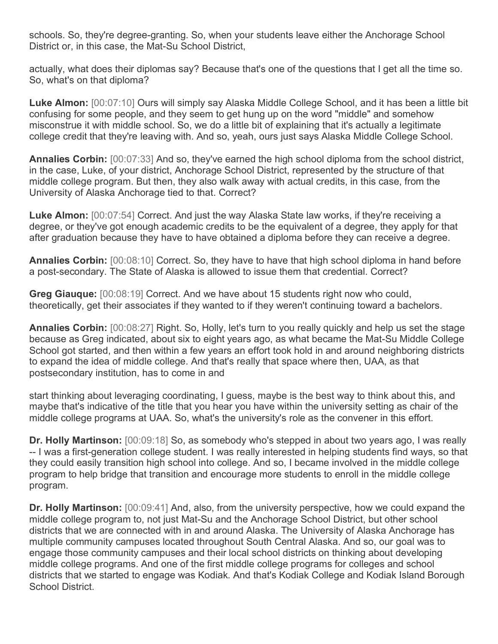schools. So, they're degree-granting. So, when your students leave either the Anchorage School District or, in this case, the Mat-Su School District,

actually, what does their diplomas say? Because that's one of the questions that I get all the time so. So, what's on that diploma?

**Luke Almon:** [00:07:10] Ours will simply say Alaska Middle College School, and it has been a little bit confusing for some people, and they seem to get hung up on the word "middle" and somehow misconstrue it with middle school. So, we do a little bit of explaining that it's actually a legitimate college credit that they're leaving with. And so, yeah, ours just says Alaska Middle College School.

**Annalies Corbin:** [00:07:33] And so, they've earned the high school diploma from the school district, in the case, Luke, of your district, Anchorage School District, represented by the structure of that middle college program. But then, they also walk away with actual credits, in this case, from the University of Alaska Anchorage tied to that. Correct?

**Luke Almon:** [00:07:54] Correct. And just the way Alaska State law works, if they're receiving a degree, or they've got enough academic credits to be the equivalent of a degree, they apply for that after graduation because they have to have obtained a diploma before they can receive a degree.

**Annalies Corbin:** [00:08:10] Correct. So, they have to have that high school diploma in hand before a post-secondary. The State of Alaska is allowed to issue them that credential. Correct?

**Greg Giauque:** [00:08:19] Correct. And we have about 15 students right now who could, theoretically, get their associates if they wanted to if they weren't continuing toward a bachelors.

**Annalies Corbin:** [00:08:27] Right. So, Holly, let's turn to you really quickly and help us set the stage because as Greg indicated, about six to eight years ago, as what became the Mat-Su Middle College School got started, and then within a few years an effort took hold in and around neighboring districts to expand the idea of middle college. And that's really that space where then, UAA, as that postsecondary institution, has to come in and

start thinking about leveraging coordinating, I guess, maybe is the best way to think about this, and maybe that's indicative of the title that you hear you have within the university setting as chair of the middle college programs at UAA. So, what's the university's role as the convener in this effort.

**Dr. Holly Martinson:** [00:09:18] So, as somebody who's stepped in about two years ago, I was really -- I was a first-generation college student. I was really interested in helping students find ways, so that they could easily transition high school into college. And so, I became involved in the middle college program to help bridge that transition and encourage more students to enroll in the middle college program.

**Dr. Holly Martinson:** [00:09:41] And, also, from the university perspective, how we could expand the middle college program to, not just Mat-Su and the Anchorage School District, but other school districts that we are connected with in and around Alaska. The University of Alaska Anchorage has multiple community campuses located throughout South Central Alaska. And so, our goal was to engage those community campuses and their local school districts on thinking about developing middle college programs. And one of the first middle college programs for colleges and school districts that we started to engage was Kodiak. And that's Kodiak College and Kodiak Island Borough School District.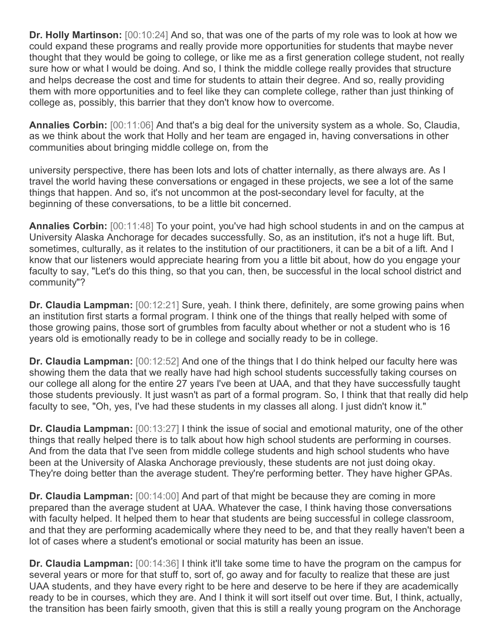**Dr. Holly Martinson:** [00:10:24] And so, that was one of the parts of my role was to look at how we could expand these programs and really provide more opportunities for students that maybe never thought that they would be going to college, or like me as a first generation college student, not really sure how or what I would be doing. And so, I think the middle college really provides that structure and helps decrease the cost and time for students to attain their degree. And so, really providing them with more opportunities and to feel like they can complete college, rather than just thinking of college as, possibly, this barrier that they don't know how to overcome.

**Annalies Corbin:** [00:11:06] And that's a big deal for the university system as a whole. So, Claudia, as we think about the work that Holly and her team are engaged in, having conversations in other communities about bringing middle college on, from the

university perspective, there has been lots and lots of chatter internally, as there always are. As I travel the world having these conversations or engaged in these projects, we see a lot of the same things that happen. And so, it's not uncommon at the post-secondary level for faculty, at the beginning of these conversations, to be a little bit concerned.

**Annalies Corbin:** [00:11:48] To your point, you've had high school students in and on the campus at University Alaska Anchorage for decades successfully. So, as an institution, it's not a huge lift. But, sometimes, culturally, as it relates to the institution of our practitioners, it can be a bit of a lift. And I know that our listeners would appreciate hearing from you a little bit about, how do you engage your faculty to say, "Let's do this thing, so that you can, then, be successful in the local school district and community"?

**Dr. Claudia Lampman:** [00:12:21] Sure, yeah. I think there, definitely, are some growing pains when an institution first starts a formal program. I think one of the things that really helped with some of those growing pains, those sort of grumbles from faculty about whether or not a student who is 16 years old is emotionally ready to be in college and socially ready to be in college.

**Dr. Claudia Lampman:** [00:12:52] And one of the things that I do think helped our faculty here was showing them the data that we really have had high school students successfully taking courses on our college all along for the entire 27 years I've been at UAA, and that they have successfully taught those students previously. It just wasn't as part of a formal program. So, I think that that really did help faculty to see, "Oh, yes, I've had these students in my classes all along. I just didn't know it."

**Dr. Claudia Lampman:** [00:13:27] I think the issue of social and emotional maturity, one of the other things that really helped there is to talk about how high school students are performing in courses. And from the data that I've seen from middle college students and high school students who have been at the University of Alaska Anchorage previously, these students are not just doing okay. They're doing better than the average student. They're performing better. They have higher GPAs.

**Dr. Claudia Lampman:** [00:14:00] And part of that might be because they are coming in more prepared than the average student at UAA. Whatever the case, I think having those conversations with faculty helped. It helped them to hear that students are being successful in college classroom, and that they are performing academically where they need to be, and that they really haven't been a lot of cases where a student's emotional or social maturity has been an issue.

**Dr. Claudia Lampman:** [00:14:36] I think it'll take some time to have the program on the campus for several years or more for that stuff to, sort of, go away and for faculty to realize that these are just UAA students, and they have every right to be here and deserve to be here if they are academically ready to be in courses, which they are. And I think it will sort itself out over time. But, I think, actually, the transition has been fairly smooth, given that this is still a really young program on the Anchorage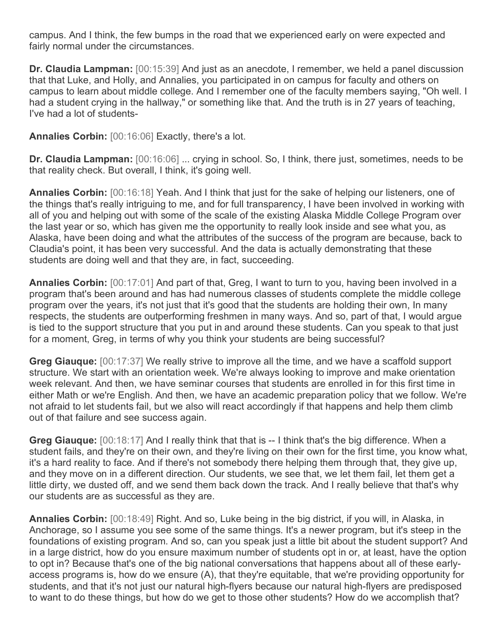campus. And I think, the few bumps in the road that we experienced early on were expected and fairly normal under the circumstances.

**Dr. Claudia Lampman:** [00:15:39] And just as an anecdote, I remember, we held a panel discussion that that Luke, and Holly, and Annalies, you participated in on campus for faculty and others on campus to learn about middle college. And I remember one of the faculty members saying, "Oh well. I had a student crying in the hallway," or something like that. And the truth is in 27 years of teaching, I've had a lot of students-

**Annalies Corbin:** [00:16:06] Exactly, there's a lot.

**Dr. Claudia Lampman:** [00:16:06] ... crying in school. So, I think, there just, sometimes, needs to be that reality check. But overall, I think, it's going well.

**Annalies Corbin:** [00:16:18] Yeah. And I think that just for the sake of helping our listeners, one of the things that's really intriguing to me, and for full transparency, I have been involved in working with all of you and helping out with some of the scale of the existing Alaska Middle College Program over the last year or so, which has given me the opportunity to really look inside and see what you, as Alaska, have been doing and what the attributes of the success of the program are because, back to Claudia's point, it has been very successful. And the data is actually demonstrating that these students are doing well and that they are, in fact, succeeding.

**Annalies Corbin:** [00:17:01] And part of that, Greg, I want to turn to you, having been involved in a program that's been around and has had numerous classes of students complete the middle college program over the years, it's not just that it's good that the students are holding their own, In many respects, the students are outperforming freshmen in many ways. And so, part of that, I would argue is tied to the support structure that you put in and around these students. Can you speak to that just for a moment, Greg, in terms of why you think your students are being successful?

**Greg Giauque:** [00:17:37] We really strive to improve all the time, and we have a scaffold support structure. We start with an orientation week. We're always looking to improve and make orientation week relevant. And then, we have seminar courses that students are enrolled in for this first time in either Math or we're English. And then, we have an academic preparation policy that we follow. We're not afraid to let students fail, but we also will react accordingly if that happens and help them climb out of that failure and see success again.

**Greg Giauque:** [00:18:17] And I really think that that is -- I think that's the big difference. When a student fails, and they're on their own, and they're living on their own for the first time, you know what, it's a hard reality to face. And if there's not somebody there helping them through that, they give up, and they move on in a different direction. Our students, we see that, we let them fail, let them get a little dirty, we dusted off, and we send them back down the track. And I really believe that that's why our students are as successful as they are.

**Annalies Corbin:** [00:18:49] Right. And so, Luke being in the big district, if you will, in Alaska, in Anchorage, so I assume you see some of the same things. It's a newer program, but it's steep in the foundations of existing program. And so, can you speak just a little bit about the student support? And in a large district, how do you ensure maximum number of students opt in or, at least, have the option to opt in? Because that's one of the big national conversations that happens about all of these earlyaccess programs is, how do we ensure (A), that they're equitable, that we're providing opportunity for students, and that it's not just our natural high-flyers because our natural high-flyers are predisposed to want to do these things, but how do we get to those other students? How do we accomplish that?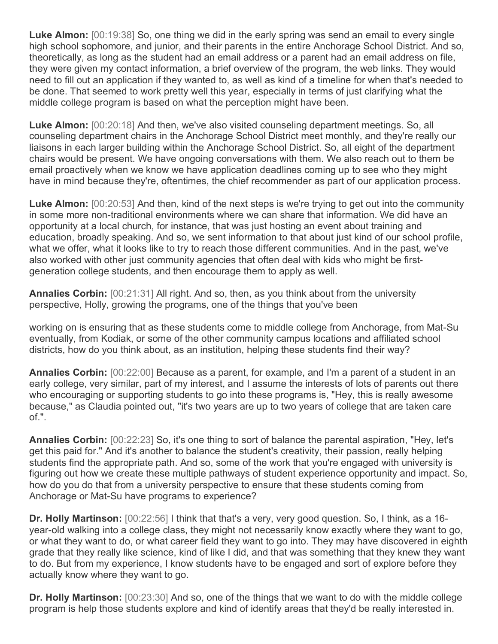**Luke Almon:** [00:19:38] So, one thing we did in the early spring was send an email to every single high school sophomore, and junior, and their parents in the entire Anchorage School District. And so, theoretically, as long as the student had an email address or a parent had an email address on file, they were given my contact information, a brief overview of the program, the web links. They would need to fill out an application if they wanted to, as well as kind of a timeline for when that's needed to be done. That seemed to work pretty well this year, especially in terms of just clarifying what the middle college program is based on what the perception might have been.

**Luke Almon:** [00:20:18] And then, we've also visited counseling department meetings. So, all counseling department chairs in the Anchorage School District meet monthly, and they're really our liaisons in each larger building within the Anchorage School District. So, all eight of the department chairs would be present. We have ongoing conversations with them. We also reach out to them be email proactively when we know we have application deadlines coming up to see who they might have in mind because they're, oftentimes, the chief recommender as part of our application process.

**Luke Almon:** [00:20:53] And then, kind of the next steps is we're trying to get out into the community in some more non-traditional environments where we can share that information. We did have an opportunity at a local church, for instance, that was just hosting an event about training and education, broadly speaking. And so, we sent information to that about just kind of our school profile, what we offer, what it looks like to try to reach those different communities. And in the past, we've also worked with other just community agencies that often deal with kids who might be firstgeneration college students, and then encourage them to apply as well.

**Annalies Corbin:** [00:21:31] All right. And so, then, as you think about from the university perspective, Holly, growing the programs, one of the things that you've been

working on is ensuring that as these students come to middle college from Anchorage, from Mat-Su eventually, from Kodiak, or some of the other community campus locations and affiliated school districts, how do you think about, as an institution, helping these students find their way?

**Annalies Corbin:** [00:22:00] Because as a parent, for example, and I'm a parent of a student in an early college, very similar, part of my interest, and I assume the interests of lots of parents out there who encouraging or supporting students to go into these programs is, "Hey, this is really awesome because," as Claudia pointed out, "it's two years are up to two years of college that are taken care of.".

**Annalies Corbin:** [00:22:23] So, it's one thing to sort of balance the parental aspiration, "Hey, let's get this paid for." And it's another to balance the student's creativity, their passion, really helping students find the appropriate path. And so, some of the work that you're engaged with university is figuring out how we create these multiple pathways of student experience opportunity and impact. So, how do you do that from a university perspective to ensure that these students coming from Anchorage or Mat-Su have programs to experience?

**Dr. Holly Martinson:** [00:22:56] I think that that's a very, very good question. So, I think, as a 16 year-old walking into a college class, they might not necessarily know exactly where they want to go, or what they want to do, or what career field they want to go into. They may have discovered in eighth grade that they really like science, kind of like I did, and that was something that they knew they want to do. But from my experience, I know students have to be engaged and sort of explore before they actually know where they want to go.

**Dr. Holly Martinson:** [00:23:30] And so, one of the things that we want to do with the middle college program is help those students explore and kind of identify areas that they'd be really interested in.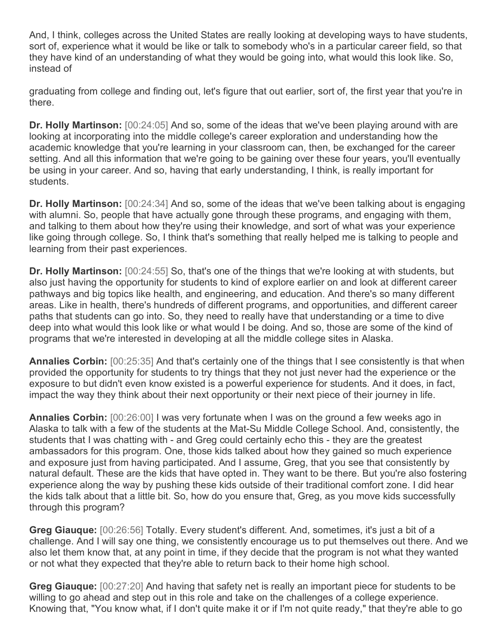And, I think, colleges across the United States are really looking at developing ways to have students, sort of, experience what it would be like or talk to somebody who's in a particular career field, so that they have kind of an understanding of what they would be going into, what would this look like. So, instead of

graduating from college and finding out, let's figure that out earlier, sort of, the first year that you're in there.

**Dr. Holly Martinson:** [00:24:05] And so, some of the ideas that we've been playing around with are looking at incorporating into the middle college's career exploration and understanding how the academic knowledge that you're learning in your classroom can, then, be exchanged for the career setting. And all this information that we're going to be gaining over these four years, you'll eventually be using in your career. And so, having that early understanding, I think, is really important for students.

**Dr. Holly Martinson:** [00:24:34] And so, some of the ideas that we've been talking about is engaging with alumni. So, people that have actually gone through these programs, and engaging with them, and talking to them about how they're using their knowledge, and sort of what was your experience like going through college. So, I think that's something that really helped me is talking to people and learning from their past experiences.

**Dr. Holly Martinson:** [00:24:55] So, that's one of the things that we're looking at with students, but also just having the opportunity for students to kind of explore earlier on and look at different career pathways and big topics like health, and engineering, and education. And there's so many different areas. Like in health, there's hundreds of different programs, and opportunities, and different career paths that students can go into. So, they need to really have that understanding or a time to dive deep into what would this look like or what would I be doing. And so, those are some of the kind of programs that we're interested in developing at all the middle college sites in Alaska.

**Annalies Corbin:** [00:25:35] And that's certainly one of the things that I see consistently is that when provided the opportunity for students to try things that they not just never had the experience or the exposure to but didn't even know existed is a powerful experience for students. And it does, in fact, impact the way they think about their next opportunity or their next piece of their journey in life.

**Annalies Corbin:** [00:26:00] I was very fortunate when I was on the ground a few weeks ago in Alaska to talk with a few of the students at the Mat-Su Middle College School. And, consistently, the students that I was chatting with - and Greg could certainly echo this - they are the greatest ambassadors for this program. One, those kids talked about how they gained so much experience and exposure just from having participated. And I assume, Greg, that you see that consistently by natural default. These are the kids that have opted in. They want to be there. But you're also fostering experience along the way by pushing these kids outside of their traditional comfort zone. I did hear the kids talk about that a little bit. So, how do you ensure that, Greg, as you move kids successfully through this program?

**Greg Giauque:** [00:26:56] Totally. Every student's different. And, sometimes, it's just a bit of a challenge. And I will say one thing, we consistently encourage us to put themselves out there. And we also let them know that, at any point in time, if they decide that the program is not what they wanted or not what they expected that they're able to return back to their home high school.

**Greg Giauque:** [00:27:20] And having that safety net is really an important piece for students to be willing to go ahead and step out in this role and take on the challenges of a college experience. Knowing that, "You know what, if I don't quite make it or if I'm not quite ready," that they're able to go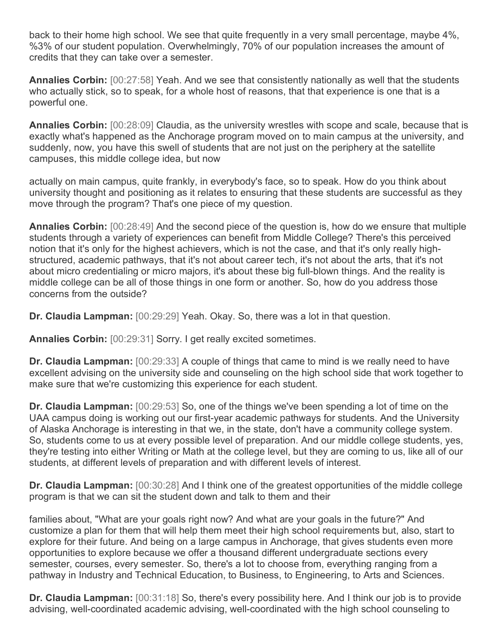back to their home high school. We see that quite frequently in a very small percentage, maybe 4%, %3% of our student population. Overwhelmingly, 70% of our population increases the amount of credits that they can take over a semester.

**Annalies Corbin:** [00:27:58] Yeah. And we see that consistently nationally as well that the students who actually stick, so to speak, for a whole host of reasons, that that experience is one that is a powerful one.

**Annalies Corbin:** [00:28:09] Claudia, as the university wrestles with scope and scale, because that is exactly what's happened as the Anchorage program moved on to main campus at the university, and suddenly, now, you have this swell of students that are not just on the periphery at the satellite campuses, this middle college idea, but now

actually on main campus, quite frankly, in everybody's face, so to speak. How do you think about university thought and positioning as it relates to ensuring that these students are successful as they move through the program? That's one piece of my question.

**Annalies Corbin:** [00:28:49] And the second piece of the question is, how do we ensure that multiple students through a variety of experiences can benefit from Middle College? There's this perceived notion that it's only for the highest achievers, which is not the case, and that it's only really highstructured, academic pathways, that it's not about career tech, it's not about the arts, that it's not about micro credentialing or micro majors, it's about these big full-blown things. And the reality is middle college can be all of those things in one form or another. So, how do you address those concerns from the outside?

**Dr. Claudia Lampman:** [00:29:29] Yeah. Okay. So, there was a lot in that question.

**Annalies Corbin:** [00:29:31] Sorry. I get really excited sometimes.

**Dr. Claudia Lampman:** [00:29:33] A couple of things that came to mind is we really need to have excellent advising on the university side and counseling on the high school side that work together to make sure that we're customizing this experience for each student.

**Dr. Claudia Lampman:** [00:29:53] So, one of the things we've been spending a lot of time on the UAA campus doing is working out our first-year academic pathways for students. And the University of Alaska Anchorage is interesting in that we, in the state, don't have a community college system. So, students come to us at every possible level of preparation. And our middle college students, yes, they're testing into either Writing or Math at the college level, but they are coming to us, like all of our students, at different levels of preparation and with different levels of interest.

**Dr. Claudia Lampman:** [00:30:28] And I think one of the greatest opportunities of the middle college program is that we can sit the student down and talk to them and their

families about, "What are your goals right now? And what are your goals in the future?" And customize a plan for them that will help them meet their high school requirements but, also, start to explore for their future. And being on a large campus in Anchorage, that gives students even more opportunities to explore because we offer a thousand different undergraduate sections every semester, courses, every semester. So, there's a lot to choose from, everything ranging from a pathway in Industry and Technical Education, to Business, to Engineering, to Arts and Sciences.

**Dr. Claudia Lampman:** [00:31:18] So, there's every possibility here. And I think our job is to provide advising, well-coordinated academic advising, well-coordinated with the high school counseling to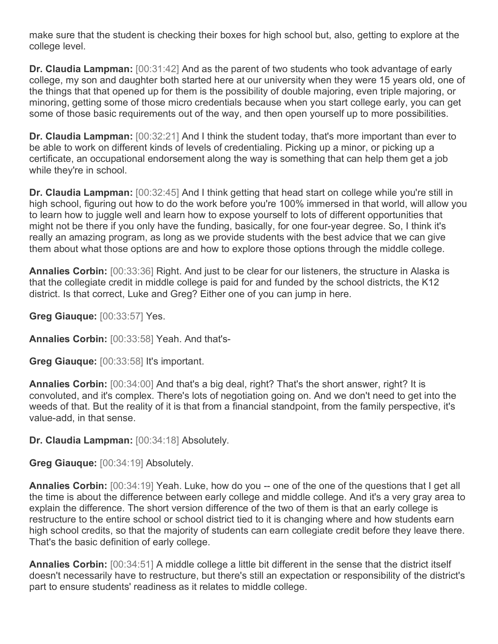make sure that the student is checking their boxes for high school but, also, getting to explore at the college level.

**Dr. Claudia Lampman:** [00:31:42] And as the parent of two students who took advantage of early college, my son and daughter both started here at our university when they were 15 years old, one of the things that that opened up for them is the possibility of double majoring, even triple majoring, or minoring, getting some of those micro credentials because when you start college early, you can get some of those basic requirements out of the way, and then open yourself up to more possibilities.

**Dr. Claudia Lampman:** [00:32:21] And I think the student today, that's more important than ever to be able to work on different kinds of levels of credentialing. Picking up a minor, or picking up a certificate, an occupational endorsement along the way is something that can help them get a job while they're in school.

**Dr. Claudia Lampman:** [00:32:45] And I think getting that head start on college while you're still in high school, figuring out how to do the work before you're 100% immersed in that world, will allow you to learn how to juggle well and learn how to expose yourself to lots of different opportunities that might not be there if you only have the funding, basically, for one four-year degree. So, I think it's really an amazing program, as long as we provide students with the best advice that we can give them about what those options are and how to explore those options through the middle college.

**Annalies Corbin:** [00:33:36] Right. And just to be clear for our listeners, the structure in Alaska is that the collegiate credit in middle college is paid for and funded by the school districts, the K12 district. Is that correct, Luke and Greg? Either one of you can jump in here.

**Greg Giauque:** [00:33:57] Yes.

**Annalies Corbin:** [00:33:58] Yeah. And that's-

**Greg Giauque:** [00:33:58] It's important.

**Annalies Corbin:** [00:34:00] And that's a big deal, right? That's the short answer, right? It is convoluted, and it's complex. There's lots of negotiation going on. And we don't need to get into the weeds of that. But the reality of it is that from a financial standpoint, from the family perspective, it's value-add, in that sense.

**Dr. Claudia Lampman:** [00:34:18] Absolutely.

**Greg Giauque:** [00:34:19] Absolutely.

**Annalies Corbin:** [00:34:19] Yeah. Luke, how do you -- one of the one of the questions that I get all the time is about the difference between early college and middle college. And it's a very gray area to explain the difference. The short version difference of the two of them is that an early college is restructure to the entire school or school district tied to it is changing where and how students earn high school credits, so that the majority of students can earn collegiate credit before they leave there. That's the basic definition of early college.

**Annalies Corbin:** [00:34:51] A middle college a little bit different in the sense that the district itself doesn't necessarily have to restructure, but there's still an expectation or responsibility of the district's part to ensure students' readiness as it relates to middle college.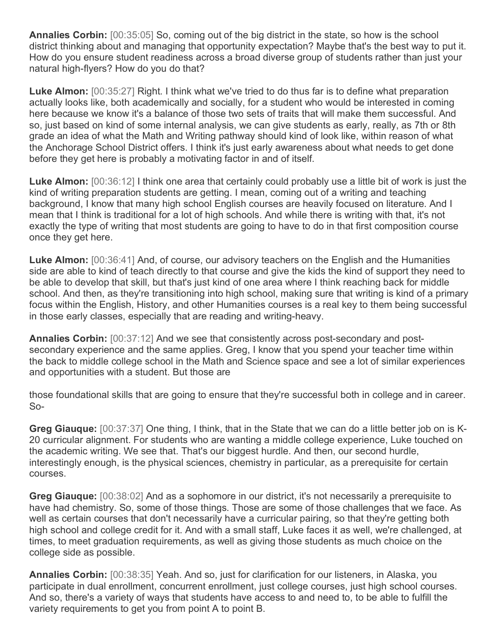**Annalies Corbin:** [00:35:05] So, coming out of the big district in the state, so how is the school district thinking about and managing that opportunity expectation? Maybe that's the best way to put it. How do you ensure student readiness across a broad diverse group of students rather than just your natural high-flyers? How do you do that?

**Luke Almon:** [00:35:27] Right. I think what we've tried to do thus far is to define what preparation actually looks like, both academically and socially, for a student who would be interested in coming here because we know it's a balance of those two sets of traits that will make them successful. And so, just based on kind of some internal analysis, we can give students as early, really, as 7th or 8th grade an idea of what the Math and Writing pathway should kind of look like, within reason of what the Anchorage School District offers. I think it's just early awareness about what needs to get done before they get here is probably a motivating factor in and of itself.

**Luke Almon:** [00:36:12] I think one area that certainly could probably use a little bit of work is just the kind of writing preparation students are getting. I mean, coming out of a writing and teaching background, I know that many high school English courses are heavily focused on literature. And I mean that I think is traditional for a lot of high schools. And while there is writing with that, it's not exactly the type of writing that most students are going to have to do in that first composition course once they get here.

**Luke Almon:** [00:36:41] And, of course, our advisory teachers on the English and the Humanities side are able to kind of teach directly to that course and give the kids the kind of support they need to be able to develop that skill, but that's just kind of one area where I think reaching back for middle school. And then, as they're transitioning into high school, making sure that writing is kind of a primary focus within the English, History, and other Humanities courses is a real key to them being successful in those early classes, especially that are reading and writing-heavy.

**Annalies Corbin:** [00:37:12] And we see that consistently across post-secondary and postsecondary experience and the same applies. Greg, I know that you spend your teacher time within the back to middle college school in the Math and Science space and see a lot of similar experiences and opportunities with a student. But those are

those foundational skills that are going to ensure that they're successful both in college and in career. So-

**Greg Giauque:** [00:37:37] One thing, I think, that in the State that we can do a little better job on is K-20 curricular alignment. For students who are wanting a middle college experience, Luke touched on the academic writing. We see that. That's our biggest hurdle. And then, our second hurdle, interestingly enough, is the physical sciences, chemistry in particular, as a prerequisite for certain courses.

**Greg Giauque:** [00:38:02] And as a sophomore in our district, it's not necessarily a prerequisite to have had chemistry. So, some of those things. Those are some of those challenges that we face. As well as certain courses that don't necessarily have a curricular pairing, so that they're getting both high school and college credit for it. And with a small staff, Luke faces it as well, we're challenged, at times, to meet graduation requirements, as well as giving those students as much choice on the college side as possible.

**Annalies Corbin:** [00:38:35] Yeah. And so, just for clarification for our listeners, in Alaska, you participate in dual enrollment, concurrent enrollment, just college courses, just high school courses. And so, there's a variety of ways that students have access to and need to, to be able to fulfill the variety requirements to get you from point A to point B.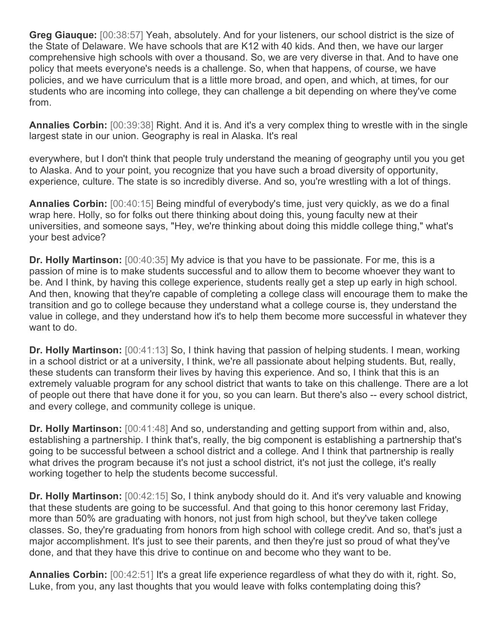**Greg Giauque:** [00:38:57] Yeah, absolutely. And for your listeners, our school district is the size of the State of Delaware. We have schools that are K12 with 40 kids. And then, we have our larger comprehensive high schools with over a thousand. So, we are very diverse in that. And to have one policy that meets everyone's needs is a challenge. So, when that happens, of course, we have policies, and we have curriculum that is a little more broad, and open, and which, at times, for our students who are incoming into college, they can challenge a bit depending on where they've come from.

**Annalies Corbin:** [00:39:38] Right. And it is. And it's a very complex thing to wrestle with in the single largest state in our union. Geography is real in Alaska. It's real

everywhere, but I don't think that people truly understand the meaning of geography until you you get to Alaska. And to your point, you recognize that you have such a broad diversity of opportunity, experience, culture. The state is so incredibly diverse. And so, you're wrestling with a lot of things.

**Annalies Corbin:** [00:40:15] Being mindful of everybody's time, just very quickly, as we do a final wrap here. Holly, so for folks out there thinking about doing this, young faculty new at their universities, and someone says, "Hey, we're thinking about doing this middle college thing," what's your best advice?

**Dr. Holly Martinson:** [00:40:35] My advice is that you have to be passionate. For me, this is a passion of mine is to make students successful and to allow them to become whoever they want to be. And I think, by having this college experience, students really get a step up early in high school. And then, knowing that they're capable of completing a college class will encourage them to make the transition and go to college because they understand what a college course is, they understand the value in college, and they understand how it's to help them become more successful in whatever they want to do.

**Dr. Holly Martinson:** [00:41:13] So, I think having that passion of helping students. I mean, working in a school district or at a university, I think, we're all passionate about helping students. But, really, these students can transform their lives by having this experience. And so, I think that this is an extremely valuable program for any school district that wants to take on this challenge. There are a lot of people out there that have done it for you, so you can learn. But there's also -- every school district, and every college, and community college is unique.

**Dr. Holly Martinson:** [00:41:48] And so, understanding and getting support from within and, also, establishing a partnership. I think that's, really, the big component is establishing a partnership that's going to be successful between a school district and a college. And I think that partnership is really what drives the program because it's not just a school district, it's not just the college, it's really working together to help the students become successful.

**Dr. Holly Martinson:** [00:42:15] So, I think anybody should do it. And it's very valuable and knowing that these students are going to be successful. And that going to this honor ceremony last Friday, more than 50% are graduating with honors, not just from high school, but they've taken college classes. So, they're graduating from honors from high school with college credit. And so, that's just a major accomplishment. It's just to see their parents, and then they're just so proud of what they've done, and that they have this drive to continue on and become who they want to be.

**Annalies Corbin:** [00:42:51] It's a great life experience regardless of what they do with it, right. So, Luke, from you, any last thoughts that you would leave with folks contemplating doing this?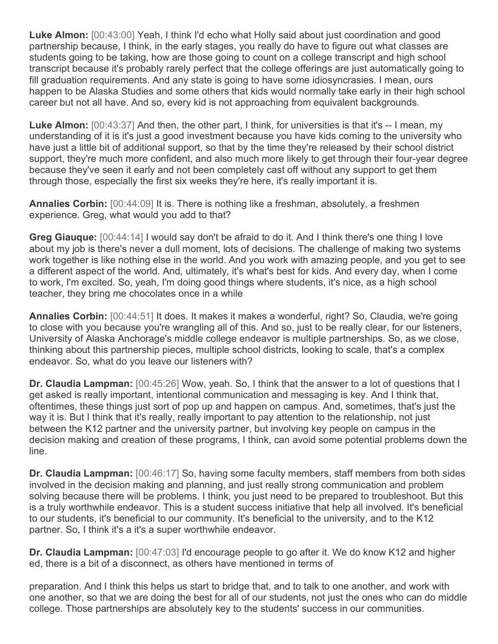**Luke Almon:** [00:43:00] Yeah, I think I'd echo what Holly said about just coordination and good partnership because, I think, in the early stages, you really do have to figure out what classes are students going to be taking, how are those going to count on a college transcript and high school transcript because it's probably rarely perfect that the college offerings are just automatically going to fill graduation requirements. And any state is going to have some idiosyncrasies. I mean, ours happen to be Alaska Studies and some others that kids would normally take early in their high school career but not all have. And so, every kid is not approaching from equivalent backgrounds.

**Luke Almon:** [00:43:37] And then, the other part, I think, for universities is that it's -- I mean, my understanding of it is it's just a good investment because you have kids coming to the university who have just a little bit of additional support, so that by the time they're released by their school district support, they're much more confident, and also much more likely to get through their four-year degree because they've seen it early and not been completely cast off without any support to get them through those, especially the first six weeks they're here, it's really important it is.

**Annalies Corbin:** [00:44:09] It is. There is nothing like a freshman, absolutely, a freshmen experience. Greg, what would you add to that?

**Greg Giauque:** [00:44:14] I would say don't be afraid to do it. And I think there's one thing I love about my job is there's never a dull moment, lots of decisions. The challenge of making two systems work together is like nothing else in the world. And you work with amazing people, and you get to see a different aspect of the world. And, ultimately, it's what's best for kids. And every day, when I come to work, I'm excited. So, yeah, I'm doing good things where students, it's nice, as a high school teacher, they bring me chocolates once in a while

**Annalies Corbin:** [00:44:51] It does. It makes it makes a wonderful, right? So, Claudia, we're going to close with you because you're wrangling all of this. And so, just to be really clear, for our listeners, University of Alaska Anchorage's middle college endeavor is multiple partnerships. So, as we close, thinking about this partnership pieces, multiple school districts, looking to scale, that's a complex endeavor. So, what do you leave our listeners with?

**Dr. Claudia Lampman:** [00:45:26] Wow, yeah. So, I think that the answer to a lot of questions that I get asked is really important, intentional communication and messaging is key. And I think that, oftentimes, these things just sort of pop up and happen on campus. And, sometimes, that's just the way it is. But I think that it's really, really important to pay attention to the relationship, not just between the K12 partner and the university partner, but involving key people on campus in the decision making and creation of these programs, I think, can avoid some potential problems down the line.

**Dr. Claudia Lampman:** [00:46:17] So, having some faculty members, staff members from both sides involved in the decision making and planning, and just really strong communication and problem solving because there will be problems. I think, you just need to be prepared to troubleshoot. But this is a truly worthwhile endeavor. This is a student success initiative that help all involved. It's beneficial to our students, it's beneficial to our community. It's beneficial to the university, and to the K12 partner. So, I think it's a it's a super worthwhile endeavor.

**Dr. Claudia Lampman:** [00:47:03] I'd encourage people to go after it. We do know K12 and higher ed, there is a bit of a disconnect, as others have mentioned in terms of

preparation. And I think this helps us start to bridge that, and to talk to one another, and work with one another, so that we are doing the best for all of our students, not just the ones who can do middle college. Those partnerships are absolutely key to the students' success in our communities.